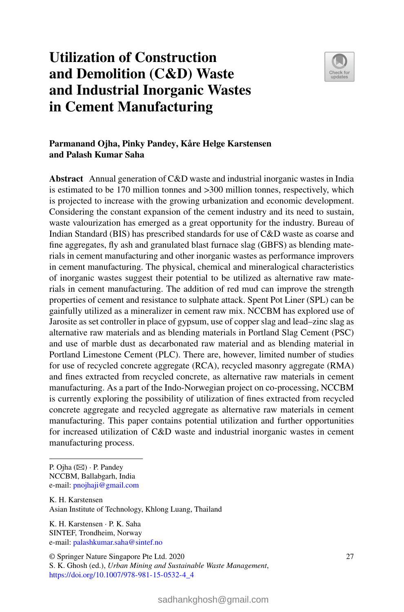# **Utilization of Construction and Demolition (C&D) Waste and Industrial Inorganic Wastes in Cement Manufacturing**



# **Parmanand Ojha, Pinky Pandey, Kåre Helge Karstensen and Palash Kumar Saha**

**Abstract** Annual generation of C&D waste and industrial inorganic wastes in India is estimated to be 170 million tonnes and >300 million tonnes, respectively, which is projected to increase with the growing urbanization and economic development. Considering the constant expansion of the cement industry and its need to sustain, waste valourization has emerged as a great opportunity for the industry. Bureau of Indian Standard (BIS) has prescribed standards for use of C&D waste as coarse and fine aggregates, fly ash and granulated blast furnace slag (GBFS) as blending materials in cement manufacturing and other inorganic wastes as performance improvers in cement manufacturing. The physical, chemical and mineralogical characteristics of inorganic wastes suggest their potential to be utilized as alternative raw materials in cement manufacturing. The addition of red mud can improve the strength properties of cement and resistance to sulphate attack. Spent Pot Liner (SPL) can be gainfully utilized as a mineralizer in cement raw mix. NCCBM has explored use of Jarosite as set controller in place of gypsum, use of copper slag and lead–zinc slag as alternative raw materials and as blending materials in Portland Slag Cement (PSC) and use of marble dust as decarbonated raw material and as blending material in Portland Limestone Cement (PLC). There are, however, limited number of studies for use of recycled concrete aggregate (RCA), recycled masonry aggregate (RMA) and fines extracted from recycled concrete, as alternative raw materials in cement manufacturing. As a part of the Indo-Norwegian project on co-processing, NCCBM is currently exploring the possibility of utilization of fines extracted from recycled concrete aggregate and recycled aggregate as alternative raw materials in cement manufacturing. This paper contains potential utilization and further opportunities for increased utilization of C&D waste and industrial inorganic wastes in cement manufacturing process.

K. H. Karstensen · P. K. Saha SINTEF, Trondheim, Norway e-mail: [palashkumar.saha@sintef.no](mailto:palashkumar.saha@sintef.no)

© Springer Nature Singapore Pte Ltd. 2020 S. K. Ghosh (ed.), *Urban Mining and Sustainable Waste Management*, [https://doi.org/10.1007/978-981-15-0532-4\\_4](https://doi.org/10.1007/978-981-15-0532-4_4)

P. Ojha ( $\boxtimes$ ) · P. Pandey NCCBM, Ballabgarh, India e-mail: [pnojhaji@gmail.com](mailto:pnojhaji@gmail.com)

K. H. Karstensen Asian Institute of Technology, Khlong Luang, Thailand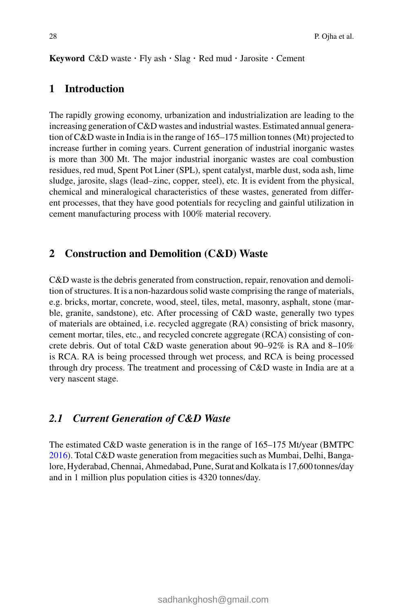#### **Keyword** C&D waste · Fly ash · Slag · Red mud · Jarosite · Cement

# **1 Introduction**

The rapidly growing economy, urbanization and industrialization are leading to the increasing generation of C&D wastes and industrial wastes. Estimated annual generation of C&D waste in India is in the range of 165–175 million tonnes (Mt) projected to increase further in coming years. Current generation of industrial inorganic wastes is more than 300 Mt. The major industrial inorganic wastes are coal combustion residues, red mud, Spent Pot Liner (SPL), spent catalyst, marble dust, soda ash, lime sludge, jarosite, slags (lead–zinc, copper, steel), etc. It is evident from the physical, chemical and mineralogical characteristics of these wastes, generated from different processes, that they have good potentials for recycling and gainful utilization in cement manufacturing process with 100% material recovery.

## **2 Construction and Demolition (C&D) Waste**

C&D waste is the debris generated from construction, repair, renovation and demolition of structures. It is a non-hazardous solid waste comprising the range of materials, e.g. bricks, mortar, concrete, wood, steel, tiles, metal, masonry, asphalt, stone (marble, granite, sandstone), etc. After processing of C&D waste, generally two types of materials are obtained, i.e. recycled aggregate (RA) consisting of brick masonry, cement mortar, tiles, etc., and recycled concrete aggregate (RCA) consisting of concrete debris. Out of total C&D waste generation about  $90-92\%$  is RA and  $8-10\%$ is RCA. RA is being processed through wet process, and RCA is being processed through dry process. The treatment and processing of C&D waste in India are at a very nascent stage.

#### *2.1 Current Generation of C&D Waste*

The estimated C&D waste generation is in the range of 165–175 Mt/year (BMTPC 2016). Total C&D waste generation from megacities such as Mumbai, Delhi, Bangalore, Hyderabad, Chennai, Ahmedabad, Pune, Surat and Kolkata is 17,600 tonnes/day and in 1 million plus population cities is 4320 tonnes/day.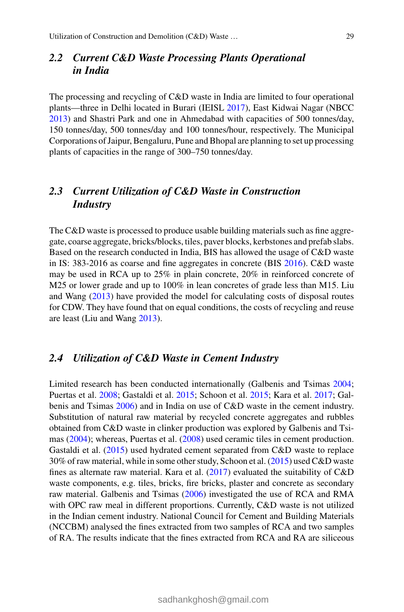# *2.2 Current C&D Waste Processing Plants Operational in India*

The processing and recycling of C&D waste in India are limited to four operational plants—three in Delhi located in Burari (IEISL 2017), East Kidwai Nagar (NBCC 2013) and Shastri Park and one in Ahmedabad with capacities of 500 tonnes/day, 150 tonnes/day, 500 tonnes/day and 100 tonnes/hour, respectively. The Municipal Corporations of Jaipur, Bengaluru, Pune and Bhopal are planning to set up processing plants of capacities in the range of 300–750 tonnes/day.

# *2.3 Current Utilization of C&D Waste in Construction Industry*

The C&D waste is processed to produce usable building materials such as fine aggregate, coarse aggregate, bricks/blocks, tiles, paver blocks, kerbstones and prefab slabs. Based on the research conducted in India, BIS has allowed the usage of C&D waste in IS: 383-2016 as coarse and fine aggregates in concrete (BIS 2016). C&D waste may be used in RCA up to 25% in plain concrete, 20% in reinforced concrete of M25 or lower grade and up to 100% in lean concretes of grade less than M15. Liu and Wang (2013) have provided the model for calculating costs of disposal routes for CDW. They have found that on equal conditions, the costs of recycling and reuse are least (Liu and Wang 2013).

# *2.4 Utilization of C&D Waste in Cement Industry*

Limited research has been conducted internationally (Galbenis and Tsimas 2004; Puertas et al. 2008; Gastaldi et al. 2015; Schoon et al. 2015; Kara et al. 2017; Galbenis and Tsimas 2006) and in India on use of C&D waste in the cement industry. Substitution of natural raw material by recycled concrete aggregates and rubbles obtained from C&D waste in clinker production was explored by Galbenis and Tsimas (2004); whereas, Puertas et al. (2008) used ceramic tiles in cement production. Gastaldi et al. (2015) used hydrated cement separated from C&D waste to replace 30% of raw material, while in some other study, Schoon et al. (2015) used C&D waste fines as alternate raw material. Kara et al. (2017) evaluated the suitability of C&D waste components, e.g. tiles, bricks, fire bricks, plaster and concrete as secondary raw material. Galbenis and Tsimas (2006) investigated the use of RCA and RMA with OPC raw meal in different proportions. Currently, C&D waste is not utilized in the Indian cement industry. National Council for Cement and Building Materials (NCCBM) analysed the fines extracted from two samples of RCA and two samples of RA. The results indicate that the fines extracted from RCA and RA are siliceous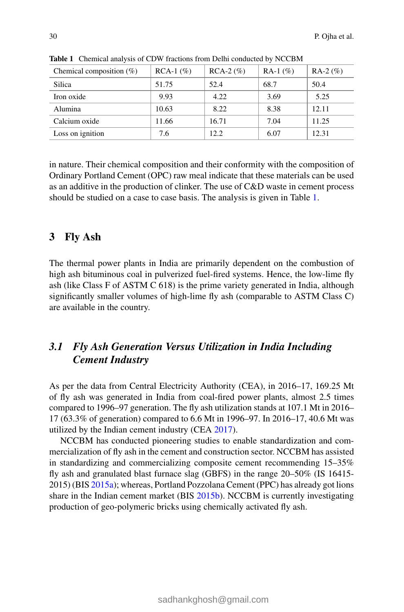| Chemical composition $(\%)$ | $RCA-1$ (%) | $RCA-2$ (%) | $RA-1$ (%) | $RA-2 (\%)$ |
|-----------------------------|-------------|-------------|------------|-------------|
| Silica                      | 51.75       | 52.4        | 68.7       | 50.4        |
| Iron oxide                  | 9.93        | 4.22        | 3.69       | 5.25        |
| Alumina                     | 10.63       | 8.22        | 8.38       | 12.11       |
| Calcium oxide               | 11.66       | 16.71       | 7.04       | 11.25       |
| Loss on ignition            | 7.6         | 12.2        | 6.07       | 12.31       |

**Table 1** Chemical analysis of CDW fractions from Delhi conducted by NCCBM

in nature. Their chemical composition and their conformity with the composition of Ordinary Portland Cement (OPC) raw meal indicate that these materials can be used as an additive in the production of clinker. The use of C&D waste in cement process should be studied on a case to case basis. The analysis is given in Table 1.

## **3 Fly Ash**

The thermal power plants in India are primarily dependent on the combustion of high ash bituminous coal in pulverized fuel-fired systems. Hence, the low-lime fly ash (like Class F of ASTM C 618) is the prime variety generated in India, although significantly smaller volumes of high-lime fly ash (comparable to ASTM Class C) are available in the country.

# *3.1 Fly Ash Generation Versus Utilization in India Including Cement Industry*

As per the data from Central Electricity Authority (CEA), in 2016–17, 169.25 Mt of fly ash was generated in India from coal-fired power plants, almost 2.5 times compared to 1996–97 generation. The fly ash utilization stands at 107.1 Mt in 2016– 17 (63.3% of generation) compared to 6.6 Mt in 1996–97. In 2016–17, 40.6 Mt was utilized by the Indian cement industry (CEA 2017).

NCCBM has conducted pioneering studies to enable standardization and commercialization of fly ash in the cement and construction sector. NCCBM has assisted in standardizing and commercializing composite cement recommending 15–35% fly ash and granulated blast furnace slag (GBFS) in the range 20–50% (IS 16415- 2015) (BIS 2015a); whereas, Portland Pozzolana Cement (PPC) has already got lions share in the Indian cement market (BIS 2015b). NCCBM is currently investigating production of geo-polymeric bricks using chemically activated fly ash.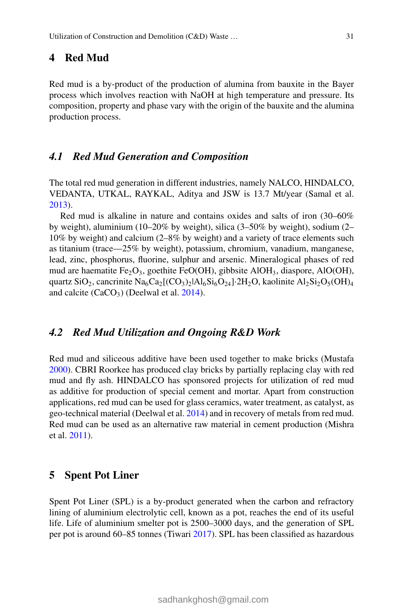# **4 Red Mud**

Red mud is a by-product of the production of alumina from bauxite in the Bayer process which involves reaction with NaOH at high temperature and pressure. Its composition, property and phase vary with the origin of the bauxite and the alumina production process.

#### *4.1 Red Mud Generation and Composition*

The total red mud generation in different industries, namely NALCO, HINDALCO, VEDANTA, UTKAL, RAYKAL, Aditya and JSW is 13.7 Mt/year (Samal et al. 2013).

Red mud is alkaline in nature and contains oxides and salts of iron (30–60% by weight), aluminium (10–20% by weight), silica (3–50% by weight), sodium (2– 10% by weight) and calcium (2–8% by weight) and a variety of trace elements such as titanium (trace—25% by weight), potassium, chromium, vanadium, manganese, lead, zinc, phosphorus, fluorine, sulphur and arsenic. Mineralogical phases of red mud are haematite Fe<sub>2</sub>O<sub>3</sub>, goethite FeO(OH), gibbsite AlOH<sub>3</sub>, diaspore, AlO(OH), quartz  $SiO_2$ , cancrinite  $Na_6Ca_2[(CO_3)_2|Al_6Si_6O_{24}]$   $2H_2O$ , kaolinite  $Al_2Si_2O_5(OH)_4$ and calcite  $(CaCO<sub>3</sub>)$  (Deelwal et al. 2014).

#### *4.2 Red Mud Utilization and Ongoing R&D Work*

Red mud and siliceous additive have been used together to make bricks (Mustafa 2000). CBRI Roorkee has produced clay bricks by partially replacing clay with red mud and fly ash. HINDALCO has sponsored projects for utilization of red mud as additive for production of special cement and mortar. Apart from construction applications, red mud can be used for glass ceramics, water treatment, as catalyst, as geo-technical material (Deelwal et al. 2014) and in recovery of metals from red mud. Red mud can be used as an alternative raw material in cement production (Mishra et al. 2011).

#### **5 Spent Pot Liner**

Spent Pot Liner (SPL) is a by-product generated when the carbon and refractory lining of aluminium electrolytic cell, known as a pot, reaches the end of its useful life. Life of aluminium smelter pot is 2500–3000 days, and the generation of SPL per pot is around 60–85 tonnes (Tiwari 2017). SPL has been classified as hazardous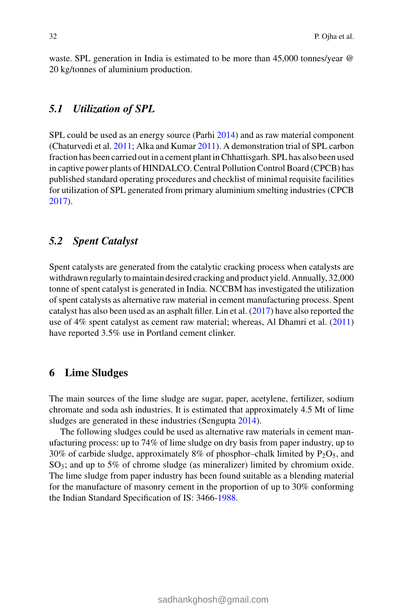waste. SPL generation in India is estimated to be more than 45,000 tonnes/year @ 20 kg/tonnes of aluminium production.

#### *5.1 Utilization of SPL*

SPL could be used as an energy source (Parhi 2014) and as raw material component (Chaturvedi et al. 2011; Alka and Kumar 2011). A demonstration trial of SPL carbon fraction has been carried out in a cement plant in Chhattisgarh. SPL has also been used in captive power plants of HINDALCO. Central Pollution Control Board (CPCB) has published standard operating procedures and checklist of minimal requisite facilities for utilization of SPL generated from primary aluminium smelting industries (CPCB 2017).

# *5.2 Spent Catalyst*

Spent catalysts are generated from the catalytic cracking process when catalysts are withdrawn regularly to maintain desired cracking and product yield. Annually, 32,000 tonne of spent catalyst is generated in India. NCCBM has investigated the utilization of spent catalysts as alternative raw material in cement manufacturing process. Spent catalyst has also been used as an asphalt filler. Lin et al. (2017) have also reported the use of 4% spent catalyst as cement raw material; whereas, Al Dhamri et al. (2011) have reported 3.5% use in Portland cement clinker.

### **6 Lime Sludges**

The main sources of the lime sludge are sugar, paper, acetylene, fertilizer, sodium chromate and soda ash industries. It is estimated that approximately 4.5 Mt of lime sludges are generated in these industries (Sengupta 2014).

The following sludges could be used as alternative raw materials in cement manufacturing process: up to 74% of lime sludge on dry basis from paper industry, up to 30% of carbide sludge, approximately 8% of phosphor–chalk limited by  $P_2O_5$ , and  $SO<sub>3</sub>$ ; and up to 5% of chrome sludge (as mineralizer) limited by chromium oxide. The lime sludge from paper industry has been found suitable as a blending material for the manufacture of masonry cement in the proportion of up to 30% conforming the Indian Standard Specification of IS: 3466-1988.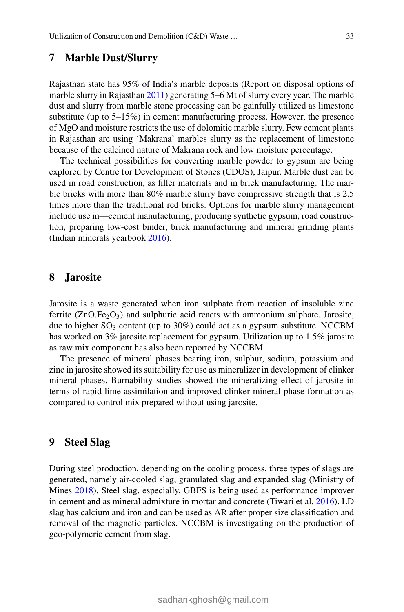## **7 Marble Dust/Slurry**

Rajasthan state has 95% of India's marble deposits (Report on disposal options of marble slurry in Rajasthan 2011) generating 5–6 Mt of slurry every year. The marble dust and slurry from marble stone processing can be gainfully utilized as limestone substitute (up to 5–15%) in cement manufacturing process. However, the presence of MgO and moisture restricts the use of dolomitic marble slurry. Few cement plants in Rajasthan are using 'Makrana' marbles slurry as the replacement of limestone because of the calcined nature of Makrana rock and low moisture percentage.

The technical possibilities for converting marble powder to gypsum are being explored by Centre for Development of Stones (CDOS), Jaipur. Marble dust can be used in road construction, as filler materials and in brick manufacturing. The marble bricks with more than 80% marble slurry have compressive strength that is 2.5 times more than the traditional red bricks. Options for marble slurry management include use in—cement manufacturing, producing synthetic gypsum, road construction, preparing low-cost binder, brick manufacturing and mineral grinding plants (Indian minerals yearbook 2016).

### **8 Jarosite**

Jarosite is a waste generated when iron sulphate from reaction of insoluble zinc ferrite  $(ZnO.Fe<sub>2</sub>O<sub>3</sub>)$  and sulphuric acid reacts with ammonium sulphate. Jarosite, due to higher  $SO_3$  content (up to 30%) could act as a gypsum substitute. NCCBM has worked on 3% jarosite replacement for gypsum. Utilization up to 1.5% jarosite as raw mix component has also been reported by NCCBM.

The presence of mineral phases bearing iron, sulphur, sodium, potassium and zinc in jarosite showed its suitability for use as mineralizer in development of clinker mineral phases. Burnability studies showed the mineralizing effect of jarosite in terms of rapid lime assimilation and improved clinker mineral phase formation as compared to control mix prepared without using jarosite.

### **9 Steel Slag**

During steel production, depending on the cooling process, three types of slags are generated, namely air-cooled slag, granulated slag and expanded slag (Ministry of Mines 2018). Steel slag, especially, GBFS is being used as performance improver in cement and as mineral admixture in mortar and concrete (Tiwari et al. 2016). LD slag has calcium and iron and can be used as AR after proper size classification and removal of the magnetic particles. NCCBM is investigating on the production of geo-polymeric cement from slag.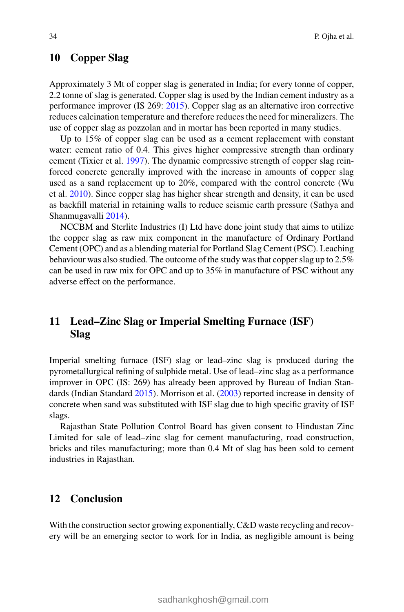# **10 Copper Slag**

Approximately 3 Mt of copper slag is generated in India; for every tonne of copper, 2.2 tonne of slag is generated. Copper slag is used by the Indian cement industry as a performance improver (IS 269: 2015). Copper slag as an alternative iron corrective reduces calcination temperature and therefore reduces the need for mineralizers. The use of copper slag as pozzolan and in mortar has been reported in many studies.

Up to 15% of copper slag can be used as a cement replacement with constant water: cement ratio of 0.4. This gives higher compressive strength than ordinary cement (Tixier et al. 1997). The dynamic compressive strength of copper slag reinforced concrete generally improved with the increase in amounts of copper slag used as a sand replacement up to 20%, compared with the control concrete (Wu et al. 2010). Since copper slag has higher shear strength and density, it can be used as backfill material in retaining walls to reduce seismic earth pressure (Sathya and Shanmugavalli 2014).

NCCBM and Sterlite Industries (I) Ltd have done joint study that aims to utilize the copper slag as raw mix component in the manufacture of Ordinary Portland Cement (OPC) and as a blending material for Portland Slag Cement (PSC). Leaching behaviour was also studied. The outcome of the study was that copper slag up to 2.5% can be used in raw mix for OPC and up to 35% in manufacture of PSC without any adverse effect on the performance.

# **11 Lead–Zinc Slag or Imperial Smelting Furnace (ISF) Slag**

Imperial smelting furnace (ISF) slag or lead–zinc slag is produced during the pyrometallurgical refining of sulphide metal. Use of lead–zinc slag as a performance improver in OPC (IS: 269) has already been approved by Bureau of Indian Standards (Indian Standard 2015). Morrison et al. (2003) reported increase in density of concrete when sand was substituted with ISF slag due to high specific gravity of ISF slags.

Rajasthan State Pollution Control Board has given consent to Hindustan Zinc Limited for sale of lead–zinc slag for cement manufacturing, road construction, bricks and tiles manufacturing; more than 0.4 Mt of slag has been sold to cement industries in Rajasthan.

# **12 Conclusion**

With the construction sector growing exponentially, C&D waste recycling and recovery will be an emerging sector to work for in India, as negligible amount is being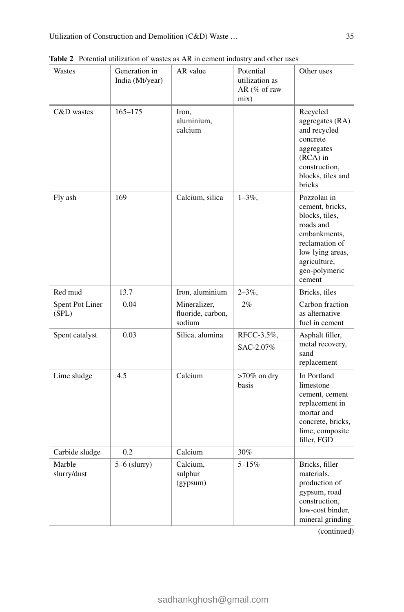| Wastes                          | Generation in<br>India (Mt/year) | AR value                                    | Potential<br>utilization as<br>AR (% of raw<br>mix) | Other uses                                                                                                                                                     |
|---------------------------------|----------------------------------|---------------------------------------------|-----------------------------------------------------|----------------------------------------------------------------------------------------------------------------------------------------------------------------|
| C&D wastes                      | $165 - 175$                      | Iron.<br>aluminium.<br>calcium              |                                                     | Recycled<br>aggregates (RA)<br>and recycled<br>concrete<br>aggregates<br>$(RCA)$ in<br>construction,<br>blocks, tiles and<br><b>bricks</b>                     |
| Fly ash                         | 169                              | Calcium, silica                             | $1 - 3\%,$                                          | Pozzolan in<br>cement, bricks,<br>blocks, tiles,<br>roads and<br>embankments,<br>reclamation of<br>low lying areas,<br>agriculture,<br>geo-polymeric<br>cement |
| Red mud                         | 13.7                             | Iron, aluminium                             | $2 - 3\%$ ,                                         | Bricks, tiles                                                                                                                                                  |
| <b>Spent Pot Liner</b><br>(SPL) | 0.04                             | Mineralizer,<br>fluoride, carbon,<br>sodium | $2\%$                                               | Carbon fraction<br>as alternative<br>fuel in cement                                                                                                            |
| Spent catalyst                  | 0.03                             | Silica, alumina                             | RFCC-3.5%,                                          | Asphalt filler,                                                                                                                                                |
|                                 |                                  |                                             | SAC-2.07%                                           | metal recovery,<br>sand<br>replacement                                                                                                                         |
| Lime sludge                     | .4.5                             | Calcium                                     | $>70\%$ on dry<br>basis                             | In Portland<br>limestone<br>cement, cement<br>replacement in<br>mortar and<br>concrete, bricks,<br>lime, composite<br>filler, FGD                              |
| Carbide sludge                  | 0.2                              | Calcium                                     | 30%                                                 |                                                                                                                                                                |
| Marble<br>slurry/dust           | $5-6$ (slurry)                   | Calcium,<br>sulphur<br>(gypsum)             | $5 - 15%$                                           | Bricks, filler<br>materials.<br>production of<br>gypsum, road<br>construction,<br>low-cost binder,<br>mineral grinding                                         |

**Table 2** Potential utilization of wastes as AR in cement industry and other uses

(continued)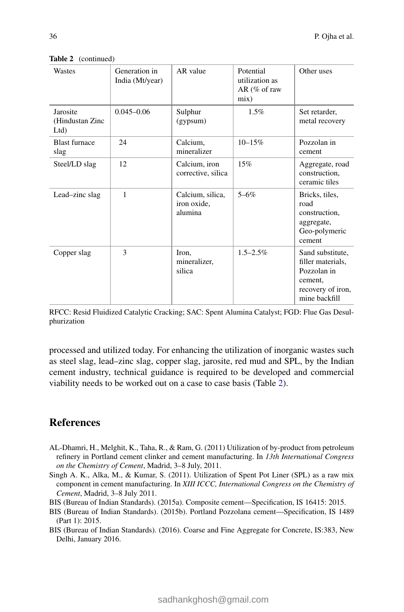| Wastes                              | Generation in<br>India (Mt/year) | AR value                                   | Potential<br>utilization as<br>AR $(\%$ of raw<br>mix) | Other uses                                                                                            |
|-------------------------------------|----------------------------------|--------------------------------------------|--------------------------------------------------------|-------------------------------------------------------------------------------------------------------|
| Jarosite<br>(Hindustan Zinc<br>Ltd) | $0.045 - 0.06$                   | Sulphur<br>(gypsum)                        | $1.5\%$                                                | Set retarder,<br>metal recovery                                                                       |
| <b>Blast furnace</b><br>slag        | 24                               | Calcium,<br>mineralizer                    | $10 - 15%$                                             | Pozzolan in<br>cement                                                                                 |
| Steel/LD slag                       | 12                               | Calcium, iron<br>corrective, silica        | 15%                                                    | Aggregate, road<br>construction,<br>ceramic tiles                                                     |
| Lead-zinc slag                      | 1                                | Calcium, silica,<br>iron oxide,<br>alumina | $5 - 6\%$                                              | Bricks, tiles,<br>road<br>construction,<br>aggregate,<br>Geo-polymeric<br>cement                      |
| Copper slag                         | 3                                | Iron,<br>mineralizer,<br>silica            | $1.5 - 2.5\%$                                          | Sand substitute,<br>filler materials.<br>Pozzolan in<br>cement.<br>recovery of iron,<br>mine backfill |

**Table 2** (continued)

RFCC: Resid Fluidized Catalytic Cracking; SAC: Spent Alumina Catalyst; FGD: Flue Gas Desulphurization

processed and utilized today. For enhancing the utilization of inorganic wastes such as steel slag, lead–zinc slag, copper slag, jarosite, red mud and SPL, by the Indian cement industry, technical guidance is required to be developed and commercial viability needs to be worked out on a case to case basis (Table 2).

# **References**

- AL-Dhamri, H., Melghit, K., Taha, R., & Ram, G. (2011) Utilization of by-product from petroleum refinery in Portland cement clinker and cement manufacturing. In *13th International Congress on the Chemistry of Cement*, Madrid, 3–8 July, 2011.
- Singh A. K., Alka, M., & Kumar, S. (2011). Utilization of Spent Pot Liner (SPL) as a raw mix component in cement manufacturing. In *XIII ICCC, International Congress on the Chemistry of Cement*, Madrid, 3–8 July 2011.
- BIS (Bureau of Indian Standards). (2015a). Composite cement—Specification, IS 16415: 2015.
- BIS (Bureau of Indian Standards). (2015b). Portland Pozzolana cement—Specification, IS 1489 (Part 1): 2015.
- BIS (Bureau of Indian Standards). (2016). Coarse and Fine Aggregate for Concrete, IS:383, New Delhi, January 2016.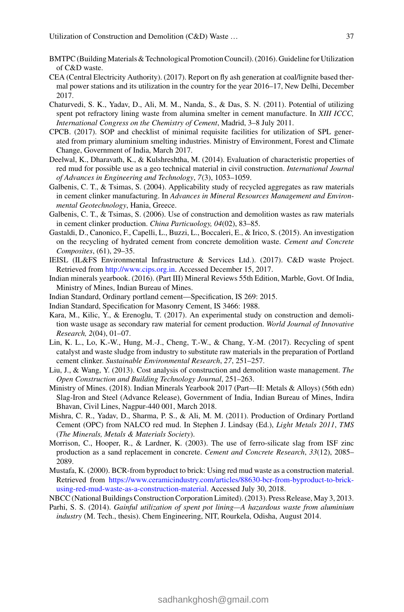- BMTPC (Building Materials & Technological Promotion Council). (2016). Guideline for Utilization of C&D waste.
- CEA (Central Electricity Authority). (2017). Report on fly ash generation at coal/lignite based thermal power stations and its utilization in the country for the year 2016–17, New Delhi, December 2017.
- Chaturvedi, S. K., Yadav, D., Ali, M. M., Nanda, S., & Das, S. N. (2011). Potential of utilizing spent pot refractory lining waste from alumina smelter in cement manufacture. In *XIII ICCC, International Congress on the Chemistry of Cement*, Madrid, 3–8 July 2011.
- CPCB. (2017). SOP and checklist of minimal requisite facilities for utilization of SPL generated from primary aluminium smelting industries. Ministry of Environment, Forest and Climate Change, Government of India, March 2017.
- Deelwal, K., Dharavath, K., & Kulshreshtha, M. (2014). Evaluation of characteristic properties of red mud for possible use as a geo technical material in civil construction. *International Journal of Advances in Engineering and Technology*, *7*(3), 1053–1059.
- Galbenis, C. T., & Tsimas, S. (2004). Applicability study of recycled aggregates as raw materials in cement clinker manufacturing. In *Advances in Mineral Resources Management and Environmental Geotechnology*, Hania, Greece.
- Galbenis, C. T., & Tsimas, S. (2006). Use of construction and demolition wastes as raw materials in cement clinker production. *China Particuology, 04*(02), 83–85.
- Gastaldi, D., Canonico, F., Capelli, L., Buzzi, L., Boccaleri, E., & Irico, S. (2015). An investigation on the recycling of hydrated cement from concrete demolition waste. *Cement and Concrete Composites*, (61), 29–35.
- IEISL (IL&FS Environmental Infrastructure & Services Ltd.). (2017). C&D waste Project. Retrieved from [http://www.cips.org.in.](http://www.cips.org.in) Accessed December 15, 2017.
- Indian minerals yearbook. (2016). (Part III) Mineral Reviews 55th Edition, Marble, Govt. Of India, Ministry of Mines, Indian Bureau of Mines.
- Indian Standard, Ordinary portland cement—Specification, IS 269: 2015.
- Indian Standard, Specification for Masonry Cement, IS 3466: 1988.
- Kara, M., Kilic, Y., & Erenoglu, T. (2017). An experimental study on construction and demolition waste usage as secondary raw material for cement production. *World Journal of Innovative Research, 2*(04), 01–07.
- Lin, K. L., Lo, K.-W., Hung, M.-J., Cheng, T.-W., & Chang, Y.-M. (2017). Recycling of spent catalyst and waste sludge from industry to substitute raw materials in the preparation of Portland cement clinker. *Sustainable Environmental Research*, *27*, 251–257.
- Liu, J., & Wang, Y. (2013). Cost analysis of construction and demolition waste management. *The Open Construction and Building Technology Journal*, 251–263.
- Ministry of Mines. (2018). Indian Minerals Yearbook 2017 (Part—II: Metals & Alloys) (56th edn) Slag-Iron and Steel (Advance Release), Government of India, Indian Bureau of Mines, Indira Bhavan, Civil Lines, Nagpur-440 001, March 2018.
- Mishra, C. R., Yadav, D., Sharma, P. S., & Ali, M. M. (2011). Production of Ordinary Portland Cement (OPC) from NALCO red mud. In Stephen J. Lindsay (Ed.), *Light Metals 2011*, *TMS* (*The Minerals, Metals & Materials Society*).
- Morrison, C., Hooper, R., & Lardner, K. (2003). The use of ferro-silicate slag from ISF zinc production as a sand replacement in concrete. *Cement and Concrete Research*, *33*(12), 2085– 2089.
- Mustafa, K. (2000). BCR-from byproduct to brick: Using red mud waste as a construction material. Retrieved from [https://www.ceramicindustry.com/articles/88630-bcr-from-byproduct-to-brick](https://www.ceramicindustry.com/articles/88630-bcr-from-byproduct-to-brick-using-red-mud-waste-as-a-construction-material)using-red-mud-waste-as-a-construction-material. Accessed July 30, 2018.
- NBCC (National Buildings Construction Corporation Limited). (2013). Press Release, May 3, 2013.
- Parhi, S. S. (2014). *Gainful utilization of spent pot lining—A hazardous waste from aluminium industry* (M. Tech., thesis). Chem Engineering, NIT, Rourkela, Odisha, August 2014.